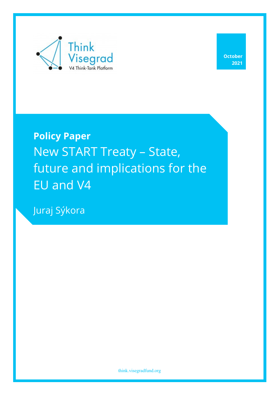

**October 2021**

**Policy Paper** New START Treaty – State, future and implications for the EU and V4

Juraj Sýkora

think.visegradfund.org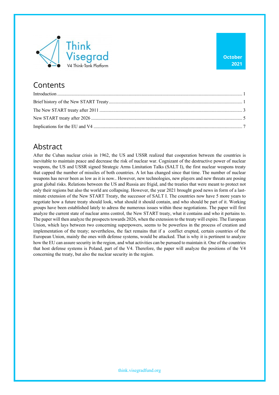

### **Contents**

### Abstract

After the Cuban nuclear crisis in 1962, the US and USSR realized that cooperation between the countries is inevitable to maintain peace and decrease the risk of nuclear war. Cognizant of the destructive power of nuclear weapons, the US and USSR signed Strategic Arms Limitation Talks (SALT I), the first nuclear weapons treaty that capped the number of missiles of both countries. A lot has changed since that time. The number of nuclear weapons has never been as low as it is now.. However, new technologies, new players and new threats are posing great global risks. Relations between the US and Russia are frigid, and the treaties that were meant to protect not only their regions but also the world are collapsing. However, the year 2021 brought good news in form of a lastminute extension of the New START Treaty, the successor of SALT I. The countries now have 5 more years to negotiate how a future treaty should look, what should it should contain, and who should be part of it. Working groups have been established lately to adress the numerous issues within these negotiations. The paper will first analyze the current state of nuclear arms control, the New START treaty, what it contains and who it pertains to. The paper will then analyze the prospects towards 2026, when the extension to the treaty will expire. The European Union, which lays between two concerning superpowers, seems to be powerless in the process of creation and implementation of the treaty; nevertheless, the fact remains that if a conflict erupted, certain countries of the European Union, mainly the ones with defense systems, would be attacked. That is why it is pertinent to analyze how the EU can assure security in the region, and what activities can be pursued to maintain it. One of the countries that host defense systems is Poland, part of the V4. Therefore, the paper will analyze the positions of the V4 concerning the treaty, but also the nuclear security in the region.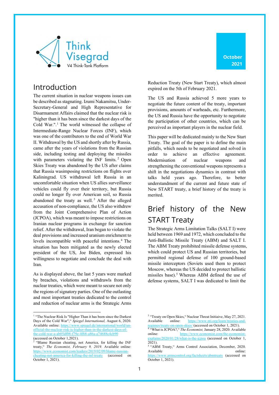

### Introduction

The current situation in nuclear weapons issues can be described as stagnating. Izumi Nakamitsu, Under-Secretary-General and High Representative for Disarmament Affairs claimed that the nuclear risk is "higher than it has been since the darkest days of the Cold War.".<sup>1</sup> The world witnessed the collapse of Intermediate-Range Nuclear Forces (INF), which was one of the contributors to the end of World War II. Withdrawal by the US and shortly after by Russia, came after the years of violations from the Russian side, including testing and deploying the missiles with parameters violating the INF limits.<sup>2</sup> Open Skies Treaty was abandoned by the US after claims that Russia wasimposing restrictions on flights over Kaliningrad. US withdrawal left Russia in an uncomfortable situation when US allies surveillance vehicles could fly over their territory, but Russia could no longer fly over American soil, so Russia abandoned the treaty as well. <sup>3</sup> After the alleged accusation of non-compliance, the US also withdrew from the Joint Comprehensive Plan of Action (JCPOA), which was meant to impose restrictions on Iranian nuclear programs in exchange for sanction relief. After the withdrawal, Iran began to violate the deal provisions and increased uranium enrichment to levels incompatible with peaceful intentions.4 The situation has been mitigated as the newly elected president of the US, Joe Biden, expressed his willingness to negotiate and conclude the deal with Iran.

As is displayed above, the last 5 years were marked by breaches, violations and withdrawls from the nuclear treaties, which were meant to secure not only the regions of signatory parties. One of the outlasting and most important treaties dedicated to the control and reduction of nuclear arms is the Strategic Arms

Reduction Treaty (New Start Treaty), which almost expired on the 5th of February 2021.

The US and Russia achieved 5 more years to negotiate the future content of the treaty, important provisions, amounts of warheads, etc. Furthermore, the US and Russia have the opportunity to negotiate the participation of other countries, which can be perceived as important players in the nuclear field.

This paper will be dedicated mainly to the New Start Treaty. The goal of the paper is to define the main pitfalls, which needs to be negotiated and solved in order to achieve an effective agreement. Modernisation of nuclear weapons and strengthening the conventional weapons represents a shift in the negotiations dynamics in contrast with talks held years ago. Therefore, to better understandment of the current and future state of New START treaty, a brief history of the treaty is merited.

# Brief history of the New START Treaty

The Strategic Arms Limitation Talks (SALT I) were held between 1969 and 1972, which concluded to the Anti-Ballistic Missile Treaty (ABM) and SALT I. The ABM Treaty prohibited missile defense systems, which could protect US and Russian territories, but permitted regional defense of 100 ground-based missile interceptors (Soviets used them to protect Moscow, whereas the US decided to protect ballistic missiles base).<sup>5</sup> Whereas ABM defined the use of defense systems, SALT I was dedicated to limit the

<sup>&</sup>lt;sup>1</sup> "The Nuclear Risk Is "Higher Than it has been since the Darkest Days of the Cold War"," *Spiegel International,* August 6, 2020. Available online: https://www.spiegel.de/international/world/unofficial-the-nuclear-risk-is-higher-than-in-the-darkest-days-ofthe-cold-war-a-ab05df08-f79e-4f68-a86a-a74688c4cb90 (accessed on October 1,2021).

 $2$  "Blame Russian cheating, not America, for killing the INF treaty," *The Economist, February 9, 2019.* Available online: https://www.economist.com/leaders/2019/02/09/blame-russian-<br>cheating-not-america-for-killing-the-inf-treaty (accessed on cheating-not-america-for-killing-the-inf-treaty October 1, 2021).

<sup>&</sup>lt;sup>3</sup> "Treaty on Open Skies," Nuclear Threat Initiaive, May 27, 2021. Available online: https://www.nti.org/learn/tre regimes/treaty-on-open-skies/ (accessed on October 1, 2021).

<sup>4</sup> "What is JCPOA?," *The Economist,* January 28, 2020. Available online: https://www.economist explains/2020/01/28/what-is-the-jcpoa (accessed on October 1,  $2021$ ).

<sup>&</sup>lt;sup>5</sup> "ABM Treaty," Arms Control Association, December, 2020. Available online:

https://www.armscontrol.org/factsheets/abmtreaty (accessed on October 1, 2021).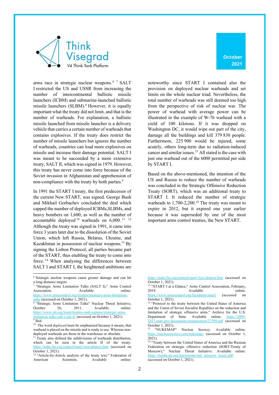



arms race in strategic nuclear weapons. <sup>6</sup> <sup>7</sup> SALT I restricted the US and USSR from increasing the number of intercontinental ballistic missile launchers (ICBM) and submarine-launched ballistic missile launchers (SLBM).<sup>8</sup> However, it is equally important what the treaty did not limit, and that is the number of warheads. For explanation, a ballistic missile launched from missile launcher is a delivery vehicle that carries a certain number of warheads that contains explosives. If the treaty does restrict the number of missile launchers but ignores the number of warheads, countries can load more explosives on missile and increase their damage potential. SALT I was meant to be succeeded by a more extensive treaty, SALT II, which was signed in 1979. However, this treaty has never come into force because of the Soviet invasion in Afghanistan and apprehension of non-compliance with the treaty by both parties.<sup>9</sup>

In 1991 the START I treaty, the first predecessor of the current New START, was signed. George Bush and Mikhail Gorbachev concluded the deal which capped the number of deployed ICBMs,SLBMs, and heavy bombers on 1,600, as well as the number of accountable deployed  $10$  warheads on 6,000.  $11$  12 Although the treaty was signed in 1991, it came into force 3 years later due to the dissolution of the Soviet Union, which left Russia, Belarus, Ukraine, and Kazakhstan in possession of nuclear weapons.<sup>13</sup> By signing the Lisbon Protocol, all parties became part of the START, thus enabling the treaty to come into force. <sup>14</sup> When analysing the differences between SALT I and START I, the heightened ambitions are

<sup>8</sup> "Strategic Arms Limitation Talks" Nuclear Threat Initiative, October 26, 2011. Available online: https://www.nti.org/learn/treaties-and-regimes/stra limitation-talks-salt-i-salt-ii/ (accessed on October 1, 2021).  $\overline{\frac{9}{1}}$ Ibid

noteworthy since START I contained also the provision on deployed nuclear warheads and set limits on the whole nuclear triad. Nevertheless, the total number of warheads was still deemed too high from the perspective of risk of nuclear war. The power of warhead with average power can be illustrated in the example of W-76 warhead with a yield of 100 kilotons. If it was dropped on Washington DC, it would wipe out part of the city, damage all the buildings and kill 379 830 people. Furthermore, 225 900 would be injured, some acutely, others long-term due to radiation-induced cancer and similar issues. <sup>15</sup> All stated is the case with just one warhead out of the 6000 permitted per side by START I.

Based on the above-mentioned, the intention of the US and Russia to reduce the number of warheads was concluded in the Strategic Offensive Reduction Treaty (SORT), which was an additional treaty to START I. It reduced the number of strategic warheads to  $1,700$ -2,200.<sup>16</sup> The treaty was meant to expire in 2012, but it expired one year earlier because it was superseded by one of the most important arms control treaties, the New START.

<sup>6</sup> Strategic nuclear weapons cause greater damage and can hit a long distance targets.<br><sup>7</sup> "Strategic Arms Limitation Talks (SALT I)," Arms Control

Association. Available online: https://www.armscontrol.org/treaties/strategic-arms-limitation talks (accessed on October 1, 2021).

<sup>&</sup>lt;sup>10</sup> The word *deployed* must be emphasized because it means, that warhead is placed on the missile and is ready to use. Whereas nondeployed warheads are those in the warehouse or obsolate.

<sup>&</sup>lt;sup>11</sup> Treaty also defined the subdivisions of warheads distribution, which can be seen in the article II of the treaty: /nuke.fas.org/control/start1/text/abatext.htm (accessed on October 1, 2021).

<sup>&</sup>lt;sup>12</sup> "Article-by-Article analysis of the treaty text," Federation of American Scientists. Available online:

https://nuke.fas.org/control/start1/text/abatext.htm (accessed on October 1, 2021).

<sup>&</sup>lt;sup>13</sup> "START I at a Glance," Arms Control Association, February, 2019. Available online:<br>
<u>rg/factsheets/start1</u> (accessed on https://www.armscontrol.org/factsheets/start1 (accessed on October 1, 2021).

<sup>&</sup>lt;sup>14</sup> "Protocol to the treaty between the United States of America and the Union of Soviet Socialist Republics on the reduction and limitation of strategic offensive arms," Archive for the U.S. Department of State. Available online: https://2009- 2017.state.gov/documents/organization/27389.pdf (accessed on October 1, 2021).

<sup>&</sup>quot;NUKEMAP" Nuclear Secrecy. Available online: https://nuclearsecrecy.com/nukemap/ (accessed on October 1, 2021).

<sup>&</sup>lt;sup>16</sup> "Treaty between the United States of America and the Russian Federation on strategic offensive reduction (SORT/Treaty of Moscow)," Nuclear Threat Initiative. Available online: https://media.nti.org/documents/sort\_moscow\_treaty.pdf (accessed on October 1, 2021).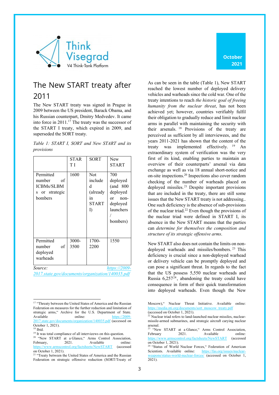

# The New START treaty after 2011

The New START treaty was signed in Prague in 2009 between the US president, Barack Obama, and his Russian counterpart, Dmitry Medvedev. It came into force in 2011.17 The treaty was the successor of the START I treaty, which expired in 2009, and superseded the SORT treaty.

*Table 1: START I, SORT and New START and its provisions*

|                                                                                          | <b>STAR</b><br>T I | SORT                                                               | New<br><b>START</b>                                                                        |  |  |
|------------------------------------------------------------------------------------------|--------------------|--------------------------------------------------------------------|--------------------------------------------------------------------------------------------|--|--|
| Permitted<br>number<br>of<br><b>ICBMs/SLBM</b><br>or strategic<br>S.<br>bombers          | 1600               | <b>Not</b><br>include<br>d<br>(already<br>in<br><b>START</b><br>I) | 700<br>deployed<br>(and 800<br>deployed<br>non-<br>or<br>deployed<br>launchers<br>bombers) |  |  |
| Permitted<br>of<br>number<br>deployed<br>warheads                                        | 3000-<br>3500      | 1700-<br>2200                                                      | 1550                                                                                       |  |  |
| Source:<br>https://2009 <sub>:</sub><br>2017 state gov/documents/organization/140035 ndf |                    |                                                                    |                                                                                            |  |  |

*2017.state.gov/documents/organization/140035.pdf*

**October 2021**

As can be seen in the table (Table 1), New START reached the lowest number of deployed delivery vehicles and warheads since the cold war. One of the treaty intentions to reach *the historic goal of freeing humanity from the nuclear threat*, has not been achieved yet; however, countries verifiably fulfil their obligation to gradually reduce and limit nuclear arms in parallel with maintaining the security with their arsenals. <sup>18</sup> Provisions of the treaty are perceived as sufficient by all interviewees, and the years 2011-2021 has shown that the content of the treaty was implemented effectively.  $19$  An extraordinary system of verification was the very first of its kind, enabling parties to maintain an overview of their counterparts' arsenal via data exchange as well as via 18 annual short-notice and on-site inspections.20 Inspections also cover random checking of the number of warheads placed on deployed missiles. <sup>21</sup> Despite important provisions that are included in the treaty, there are still some issues that the New START treaty is not addressing.. One such deficiency is the absence of sub-provisions of the nuclear triad.<sup>22</sup> Even though the provisions of the nuclear triad were defined in START I, its absence in the New START means that the parties can *determine for themselves the composition and structure of its strategic offensive arms*.

New START also does not contain the limits on nondeployed warheads and missiles/bombers. <sup>23</sup> This deficiency is crucial since a non-deployed warhead or delivery vehicle can be promptly deployed and can pose a significant threat. In regards to the fact that the US possess 5,550 nuclear warheads and Russia  $6,257^{24}$ , abandoning the treaty could have consequence in form of their quick transformation into deployed warheads. Even though the New

<sup>&</sup>lt;sup>17</sup> "Threaty between the United States of America and the Russian Federation on measures for the further reduction and limitation of strategic arms," Archive for the U.S. Department of State. Available online: https://2009-2017.state.gov/documents/organization/140035.pdf (accessed on October 1, 2021).

<sup>18</sup> Ibid.

<sup>&</sup>lt;sup>19</sup> It was total compliance of all intervieews on this question.

<sup>&</sup>lt;sup>20</sup> "New START at a Glance," Arms Control Association,<br>February, 2021. Available online: Available online: https://www.armscontrol.org/factsheets/NewSTART (accessed on October 1, 2021).

<sup>&</sup>lt;sup>21</sup> "Treaty between the United States of America and the Russian Federation on strategic offensive reduction (SORT/Treaty of

Moscow)," Nuclear Threat Initiative. Available online: https://media.nti.org/documents/sort\_moscow\_treaty.pdf (accessed on October 1, 2021).

 $22$  Nuclear triad refers to land-launched nuclear missiles, nuclearmissile-armed submarines, and strategic aircraft carying nuclear arsenal.

<sup>&</sup>lt;sup>23</sup> "New START at a Glance," Arms Control Association, February 2021. Available online: https://www.armscontrol.org/factsheets/NewSTART (accessed on October 1, 2021).

<sup>&</sup>lt;sup>24</sup> "Status of World Nuclear Forces," Federation of American Scientists. Available online: https://fas.org/issues/nuclear-Scientists. Available online: pons/status-world-nuclear-forces/ (accessed on October 1,  $2021$ ).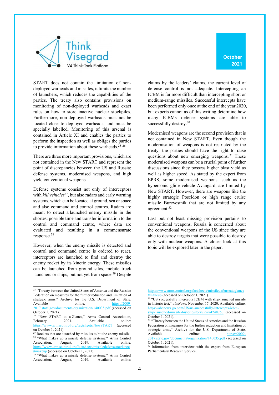

START does not contain the limitation of nondeployed warheads and missiles, it limits the number of launchers, which reduces the capabilities of the parties. The treaty also contains provisions on monitoring of non-deployed warheads and exact rules on how to store inactive nuclear stockpiles. Furthermore, non-deployed warheads must not be located close to deployed warheads, and must be specially labelled. Monitoring of this arsenal is contained in Article XI and enables the parties to perform the inspection as well as obliges the parties to provide information about these warheads.<sup>25</sup> <sup>26</sup>

There are three more important provisions, which are not contained in the New START and represent the point of discrepancies between the US and Russia: defense systems, modernised weapons, and high yield conventional weapons.

Defense systems consist not only of interceptors with *kill vehicles*<sup>27</sup>, but also radars and early warning systems, which can be located at ground, sea or space, and also command and control centres. Radars are meant to detect a launched enemy missile in the shortest possible time and transfer information to the control and command centre, where data are evaluated and resulting in a commensurate response.28

However, when the enemy missile is detected and control and command centre is ordered to react, interceptors are launched to find and destroy the enemy rocket by its kinetic energy. These missiles can be launched from ground silos, mobile truck launchers or ships, but not yet from space.<sup>29</sup> Despite

claims by the leaders' claims, the current level of defense control is not adequate. Intercepting an ICBM is far more difficult than intercepting short or medium-range missiles. Successful intercepts have been performed only once at the end of the year 2020, but experts cannot as of this writing determine how many ICBMs defense systems are able to successfully destroy.<sup>30</sup>

Modernised weapons are the second provision that is not contained in New START. Even though the modernisation of weapons is not restricted by the treaty, the parties should have the right to raise questions about new emerging weapons. <sup>31</sup> These modernised weapons can be a crucial point of further discussions since they possess higher blast yield as well as higher speed. As stated by the expert from EPRS, some modernised weapons, such as the hypersonic glide vehicle Avangard, are limited by New START. However, there are weapons like the highly strategic Poseidon or high range cruise missile Burevestnik that are not limited by any agreement.<sup>32</sup>

Last but not least missing provision pertains to conventional weapons. Russia is concerned about the conventional weapons of the US since they are able to destroy targets that were possible to destroy only with nuclear weapons. A closer look at this topic will be explored later in the paper.

<sup>&</sup>lt;sup>25</sup> "Threaty between the United States of America and the Russian Federation on measures for the further reduction and limitation of strategic arms," Archive for the U.S. Department of State. Available online: https://2009-2017.state.gov/documents/organization/140035.pdf (accessed on October 1, 2021).

<sup>&</sup>quot;New START at a Glance," Arms Control Association, February 2021. Available online: https://www.armscontrol.org/factsheets/NewSTART (accessed on October 1, 2021).

<sup>&</sup>lt;sup>27</sup> Rockets that are detached by missiles to hit the enemy missile. <sup>28</sup> "What makes up a missile defense system?," Arms Control<br>Association. August. 2019. Available online: Association, August, https://www.armscontrol.org/factsheets/missiledefenseataglance akeup (accessed on October 1, 2021).

 $\frac{m_1}{29}$  "What makes up a missile defense system?," Arms Control<br>Association, August, 2019. Available online: Association, August, 2019. Available online:

https://www.armscontrol.org/factsheets/missiledefenseataglance #makeup (accessed on October 1, 2021).

<sup>&</sup>lt;sup>30</sup> "US successfully intercepts ICBM with ship-launched missile in historic test," *abcNews,* November 17, 2020. Available online: https://abcnews.go.com/US/us-successfully-intercepts-icbm-

ship-launched-missile-historic/story?id=74248760 (accessed on October 1, 2021).

<sup>&</sup>lt;sup>31</sup> "Threaty between the United States of America and the Russian Federation on measures for the further reduction and limitation of strategic arms," Archive for the U.S. Department of State. Available online: https://2009-2017.state.gov/documents/organization/140035.pdf (accessed on October 1, 2021).

<sup>&</sup>lt;sup>32</sup> Information from interview with the expert from European Parliamentary Research Service.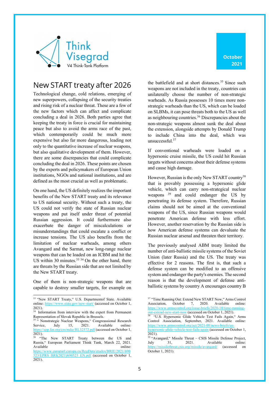

#### New START treaty after 2026

Technological change, cold relations, emerging of new superpowers, collapsing of the security treaties and rising risk of a nuclear threat. These are a few of the new factors which can affect and complicate concluding a deal in 2026. Both parties agree that keeping the treaty in force is crucial for maintaining peace but also to avoid the arms race of the past, which contemporarily could be much more expensive but also far more dangerous, leading not only to the quantitative increase of nuclear weapons, but also qualitative development of them. However, there are some discrepancies that could complicate concluding the deal in 2026. These points are chosen by the experts and policymakers of European Union institutions, NGOs and national institutions, and are defined as the most crucial as well as problematic.

On one hand, the US definitely realizes the important benefits of the New START treaty and its relevance to US national security. Without such a treaty, the US could not verify the state of Russian nuclear weapons and put itself under threat of potential Russian aggression. It could furthermore also exacerbate the danger of miscalculations or misunderstandings that could escalate a conflict or increase tensions. The US also benefits from the limitation of nuclear warheads, among others Avangard and the Sarmat, new long-range nuclear weapons that can be loaded on an ICBM and hit the US within 30 minutes. $33 \times 34$  On the other hand, there are threats by the Russian side that are not limited by the New START treaty.

One of them is non-strategic weapons that are capable to destroy smaller targets, for example on the battlefield and at short distances.<sup>35</sup> Since such weapons are not included in the treaty, countries can unilaterally choose the number of non-strategic warheads. As Russia possesses 10 times more nonstrategic warheads than the US, which can be loaded on SLBMs, it can pose threats both to the US as well as neighbouring countries.36 Discrepancies about the non-strategic weapons almost sunk the deal about the extension, alongside attempts by Donald Trump to include China into the deal, which was unsuccessful.37

If conventional warheads were loaded on a hypersonic cruise missile, the US could hit Russian targets without concerns about their defense systems and cause high damage.

However, Russian is the only New START country<sup>38</sup> that is provably possessing a hypersonic glide vehicle, which can carry non-strategical nuclear weapons 39 and could endanger the US by penetrating its defense system. Therefore, Russian claims should not be aimed at the conventional weapons of the US, since Russian weapons would penetrate American defense with less effort. However, another reservation by the Russian side is how American defense systems can devaluate the Russian nuclear arsenal and threaten their territory.

The previously analysed ABM treaty limited the number of anti-ballistic missile systems of the Soviet Union (later Russia) and the US. The treaty was effective for 2 reasons. The first is, that such a defense system can be modified to an offensive system and endanger the party's enemies. The second reason is that the development of defense antiballistic systems by country A encourages country B

<sup>33</sup> "New START Treaty," U.S. Departmentof State. Available online: https://www.state.gov/new-start/ (accessed on October 1, 2021).

<sup>&</sup>lt;sup>34</sup> Information from interview with the expert from Permanent Representation of Slovak Republic in Brussels.

<sup>&</sup>lt;sup>35 "</sup> Nonstrategic Nuclear Weapons," Congreassional Research Service, July 15, 2021. Available online: https://sgp.fas.org/crs/nuke/RL32572.pdf (accessed on October 1, 2021).

<sup>&</sup>quot;The New START Treaty between the US and Russia," European Parliament Think Tank, March 22, 2021. Available online:

https://www.europarl.europa.eu/RegData/etudes/BRIE/2021/690 523/EPRS\_BRI(2021)690523\_EN.pdf (accessed on October 1,  $2021$ ).

<sup>37</sup> "Time Running Out: Extend New START Now," Arms Control Association, October 7, 2020. Available online: https://www.armscontrol.org/issue-briefs/2020-10/time-runningut-extend-new-start-now (accessed on October 1, 2021).

<sup>&</sup>lt;sup>38</sup> "U.S. Hypersonic Glide Vehicle Test Fails Again," Arms Control Association, September, 2021. Available online: https://www.armscontrol.org/act/2021-09/news-briefs/us-

hypersonic-glide-vehicle-test-fails-again (accessed on October 1, 2021).

<sup>&</sup>lt;sup>39</sup> "Avangard," Missile Threat – CSIS Missile Defense Project, July  $31.$  2021. Available online: Available online: https://missilethreat.csis.org/missile/avangard/ (accessed on October 1, 2021).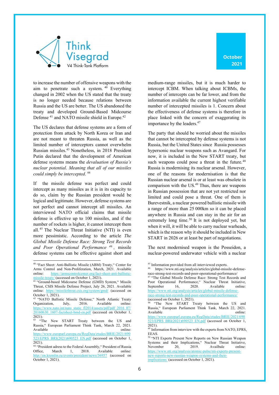

to increase the number of offensive weapons with the aim to penetrate such a system. <sup>40</sup> Everything changed in 2002 when the US stated that the treaty is no longer needed because relations between Russia and the US are better. The US abandoned the treaty and developed Ground-Based Midcourse Defense<sup>41</sup> and NATO missile shield in Europe.<sup>42</sup>

The US declares that defense systems are a form of protection from attack by North Korea or Iran and are not meant to threaten Russia, as well as the limited number of interceptors cannot overwhelm Russian missiles.43 Nonetheless, in 2018 President Putin declared that the development of American defense systems means the *devaluation of Russia's nuclear potential*. *Meaning that all of our missiles could simply be intercepted*. 44

If the missile defense was perfect and could intercept as many missiles as it is in its capacity to do so, claim by the Russian president would be logical and legitimate. However, defense systems are not perfect and cannot intercept all missiles. An interviewed NATO official claims that missile defense is effective up to 100 missiles, and if the number of rockets is higher, it cannot intercept them all. <sup>45</sup> The Nuclear Threat Initiative (NTI) is even more pessimistic. According to the article *The Global Missile Defense Race: Strong Test Records and Poor Operational Performance 46 ,* missile defense systems can be effective against short and

medium-range missiles, but it is much harder to intercept ICBM. When talking about ICBMs, the number of intercepts can be far lower, and from the information available the current highest verifiable number of intercepted missiles is 1. Concern about the effectiveness of defense systems is therefore in place linked with the concern of exaggerating its importance by the leaders.<sup>47</sup>

The party that should be worried about the missiles that cannot be intercepted by defense systems is not Russia, but the United States since Russia possesses hypersonic nuclear weapons such as Avangard. For now, it is included in the New START treaty, but such weapons could pose a threat in the future.<sup>48</sup> Russia is modernising its nuclear arsenal. However, one of the reasons for modernisation is that the Russian nuclear arsenal is or at least was obsolete in comparison with the US.<sup>49</sup> Thus, there are weapons in Russian possession that are not yet restricted nor limited and could pose a threat. One of them is Burevestnik, a nuclear powered ballistic missile with a range of more than 25 000km so it can be placed anywhere in Russia and can stay in the air for an extremely long time.<sup>50</sup> It is not deployed yet, but when it will, it will be able to carry nuclear warheads, which is the reason why it should be included in New START in 2026 or at least be part of negotiations.

The next modernised weapon is the Posseidon, a nuclear-powered underwater vehicle with a nuclear

<sup>40</sup> "Fact Sheet: Anti-Ballistic Missile (ABM) Treaty," Center for Arms Control and Non-Proliferation, March, 2021. Available online: https://armscontrolcenter.org/fact-sheet-anti-ballisticmissile-treaty/ (accessed on October 1, 2021).

 $\frac{\text{missile-treaty}}{41}$  (accessed on October 1,  $2021$ ). System, " Missile (GMD) System, " Missile Threat, CSIS Missile Defense Project, July 26, 2021. Available online: https://missilethreat.csis.org/system/gmd/ (accessed on October 1, 2021).

<sup>42</sup> "NATO Ballistic Missile Defense," North Atlantic Treaty Organization, July, 2016. Available online: https://www.nato.int/nato\_static\_fl2014/assets/pdf/pdf\_2016\_07/ 20160630\_1607-factsheet-bmd-en.pdf (accessed on October 1, 2021).

 $43$  "The New START Treaty between the US and Russia," European Parliament Think Tank, March 22, 2021. Available online:

https://www.europarl.europa.eu/RegData/etudes/BRIE/2021/690 523/EPRS\_BRI(2021)690523\_EN.pdf (accessed on October 1,  $\overline{2021}$ .

<sup>44</sup> "President adress to the Federal Assembly," President of Russia Office, March 1, 2018. Available online: http://en.kremlin.ru/events/president/news/56957 (accessed on October 1, 2021).

<sup>&</sup>lt;sup>45</sup> Information provided from all interviewed experts.

<sup>46</sup> https://www.nti.org/analysis/articles/global-missile-defenserace-strong-test-records-and-poor-operational-performance/ <sup>47</sup> "The Global Missile Defense Race: Strong Test Records and Poor Operational Performance," Nuclear Threat Initiative, September 16, 2020. Available online: https://www.nti.org/analysis/articles/global-missile-defenserace-strong-test-records-and-poor-operational-performance/

<sup>(</sup>accessed on October 1, 2021).

<sup>&</sup>quot;The New START Treaty between the US and Russia," European Parliament Think Tank, March 22, 2021. Available online:

https://www.europarl.europa.eu/RegData/etudes/BRIE/2021/690 523/EPRS\_BRI(2021)690523\_EN.pdf (accessed on October 1,  $2021$ ).

<sup>49</sup> Information from interview with the experts from NATO, EPRS, EEAS.

<sup>50</sup> "NTI Experts Present New Reports on New Russian Weapon Systems and their Implications," Nuclear Threat Initiative, November 20, 2019. Availbale online: https://www.nti.org/analysis/atomic-pulse/nti-experts-presentnew-reports-new-russian-weapon-systems-and-theirimplications/ (accessed on October 1, 2021).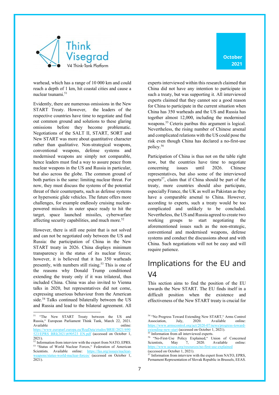

warhead, which has a range of 10 000 km and could reach a depth of 1 km, hit coastal cities and cause a nuclear tsunami.51

Evidently, there are numerous omissions in the New START Treaty. However, the leaders of the respective countries have time to negotiate and find out common ground and solutions to these glaring omissions before they become problematic. Negotiations of the SALT II, START, SORT and New START was more about quantitative character rather than qualitative. Non-strategical weapons, conventional weapons, defense systems and modernised weapons are simply not comparable, hence leaders must find a way to assure peace from nuclear weapons in the US and Russia in particular, but also across the globe. The common ground of both parties is the same: limiting nuclear threat. For now, they must discuss the systems of the potential threat of their counterparts, such as defense systems or hypersonic glide vehicles. The future offers more challenges, for example endlessly cruising nuclearpowered missiles in outer space ready to hit the target, space launched missiles, cyberwarfare affecting security capabilities, and much more.<sup>52</sup>

However, there is still one point that is not solved and can not be negotiated only between the US and Russia: the participation of China in the New START treaty in 2026. China displays minimum transparency in the status of its nuclear forces; however, it is believed that it has 350 warheads presently, with numbers still rising.<sup>53</sup> This is one of the reasons why Donald Trump conditioned extending the treaty only if it was trilateral, thus included China. China was also invited to Vienna talks in 2020, but representatives did not come, expressing unserious behaviour from the American side.<sup>54</sup> Talks continued bilaterally between the US and Russia and lead to the bilateral agreement. All

experts interviewed within this research claimed that China did not have any intention to participate in such a treaty, but was supporting it. All interviewed experts claimed that they cannot see a good reason for China to participate in the current situation when China has 350 warheads and the US and Russia has together almost 12,000, including the modernised weapons.55 Ceteris paribus this argument is logical. Nevertheless, the rising number of Chinese arsenal and complicated relations with the US could pose the risk even though China has declared a no-first-use policy.56

Participation of China is thus not on the table right now, but the countries have time to negotiate concerning issues until 2026. Chinese representatives, but also some of the interviewed experts<sup>57</sup>, claim that if China should be part of the treaty, more countries should also participate, especially France, the UK as well as Pakistan as they have a comparable arsenal to China. However, according to experts, such a treaty would be too complicated and unlikely to be concluded. Nevertheless, the US and Russia agreed to create two working groups to start negotiating the aforementioned issues such as the non-strategic, conventional and modernised weapons, defense systems and conduct the discussions about and with China. Such negotiations will not be easy and will require patience.

## Implications for the EU and V4

This section aims to find the position of the EU towards the New START. The EU finds itself in a difficult position when the existence and effectiveness of the New START treaty is crucial for

<sup>&</sup>lt;sup>51</sup> "The New START Treaty between the US and Russia," European Parliament Think Tank, March 22, 2021. Available online:

https://www.europarl.europa.eu/RegData/etudes/BRIE/2021/690 523/EPRS\_BRI(2021)690523\_EN.pdf (accessed on October 1,  $2021$ ).

<sup>&</sup>lt;sup>52</sup> Information from interview with the expert from NATO, EPRS. 53 "Status of World Nuclear Forces," Federation of American Scientists. Available online: https://fas.org/issues/nuclearweapons/status-world-nuclear-forces/ (accessed on October 1,  $\overline{2021}$ .

<sup>54</sup> "No Progress Toward Extending New START," Arms Control Association, July, 2020. Available online: https://www.armscontrol.org/act/2020-07/news/progress-towardextending-new-start (accessed on October 1, 2021). Information from all interviewed experts.

<sup>&</sup>lt;sup>56</sup> "No-First-Use Policy Explained," Union of Concerned<br>Scientists. May 7. 2020. Available online: Scientists, May 7, https://www.ucsusa.org/resources/no-first-use-explained (accessed on October 1, 2021).

<sup>&</sup>lt;sup>57</sup> Information from interview with the expert from NATO, EPRS, Pernament Representation of Slovak Republic in Brussels, EEAS.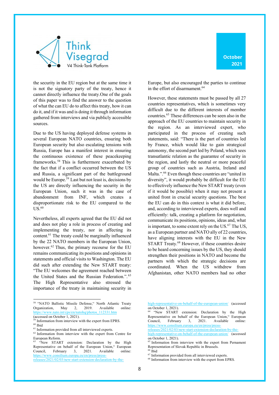

the security in the EU region but at the same time it is not the signatory party of the treaty, hence it cannot directly influence the treaty.One of the goals of this paper was to find the answer to the question of what the can EU do to affect this treaty, how it can do it, and if it was and is doing it through information gathered from interviews and via publicly accessible sources.

Due to the US having deployed defense systems in several European NATO countries, ensuring both European security but also escalating tensions with Russia, Europe has a manifest interest in ensuring the continuous existence of these peacekeeping frameworks. <sup>58</sup> This is furthermore exacerbated by the fact that if a conflict occurred between the US and Russia, a significant part of the battleground would be Europe.<sup>59</sup> Last but not least is, decisions by the US are directly influencing the security in the European Union, such it was in the case of abandonment from INF, which creates a disproportionate risk to the EU compared to the  $US.<sup>60</sup>$ 

Nevertheless, all experts agreed that the EU did not and does not play a role in process of creating and implementing the treaty, nor in affecting its content.61 The treaty could be marginally influenced by the 22 NATO members in the European Union, however.<sup>62</sup> Thus, the primary recourse for the EU remains communicating its positions and opinions in statements and official visits to Washington. The EU did such after extending the New START treaty: "The EU welcomes the agreement reached between the United States and the Russian Federation.". 63 The High Representative also stressed the importance of the treaty in maintaining security in Europe, but also encouraged the parties to continue in the effort of disarmament.<sup>64</sup>

However, these statements must be passed by all 27 countries representatives, which is sometimes very difficult due to the different interests of member countries.65 These differences can be seen also in the approach of the EU countries to maintain security in the region. As an interviewed expert, who participated in the process of creating such statements, said: "There is the part of countries led by France, which would like to gain strategical autonomy, the second part led by Poland, which sees transatlantic relation as the guarantee of security in the region, and lastly the neutral or more peaceful group of countries such as Austria, Ireland and Malta.".<sup>66</sup> Even though these countries are "united in diversity", it would probably be difficult for the EU to effectively influence the New START treaty (even if it would be possible) when it may not present a united front in crucial security questions. The best the EU can do in this context is what it did before, and, according to interviewed experts, does well and efficiently: talk, creating a platform for negotiation, communicate its positions, opinions, ideas and, what is important, to some extent rely on the US.<sup>67</sup> The US, as a European partner and NATO ally of 22 countries, have aligning interests with the EU in the New START Treaty.<sup>68</sup> However, if these countries desire to be heard concerning issues by the US, they should strengthen their positions in NATO and become the partners with which the strategic decisions are coordinated. When the US withdrew from Afghanistan, other NATO members had no other

releases/2021/02/03/new-start-extension-declaration-by-the-

 $66$  Ibid

<sup>58</sup> "NATO Ballistic Missile Defense," North Atlantic Treaty Organization, May 2, 2019. Available online: https://www.nato.int/cps/en/natohq/photos\_112331.htm (accessed on October 1, 2021).

<sup>&</sup>lt;sup>59</sup> Information from interview with the expert from EPRS.  $\,$   $^{60}$  Ibid

<sup>61</sup> Information provided from all interviewed experts.

<sup>&</sup>lt;sup>62</sup> Information from interview with the expert from Centre for European Reform.

<sup>&</sup>lt;sup>63</sup> "New START extension: Declaration by the High Representative on behalf of the European Union," European Council, February 3, 2021. Available online: https://www.consilium.europa.eu/en/press/pressreleases/2021/02/03/new-start-extension-declaration-by-the-

high-representative-on-behalf-of-the-european-union/ (accessed on October 1, 2021).

<sup>64</sup> "New START extension: Declaration by the High Representative on behalf of the European Union," European Council, February 3, 2021. Available online: https://www.consilium.europa.eu/en/press/press-

high-representative-on-behalf-of-the-european-union/ (accessed on October 1, 2021).

<sup>&</sup>lt;sup>65</sup> Information from interview with the expert from Pernament Representation of Slovak Republic in Brussels.

<sup>&</sup>lt;sup>67</sup> Information provided from all interviewed experts.

<sup>&</sup>lt;sup>68</sup> Information from interview with the expert from EPRS.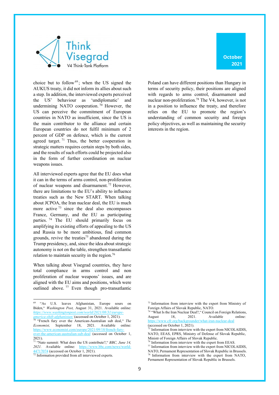

**October 2021**

choice but to follow<sup>69</sup>; when the US signed the AUKUS treaty, it did not inform its allies about such a step. In addition, the interviewed experts perceived the US' behaviour as 'undiplomatic' and undermining NATO cooperation.<sup>70</sup> However, the US can perceive the commitment of European countries in NATO as insufficient, since the US is the main contributor to the alliance and certain European countries do not fulfil minimum of 2 percent of GDP on defence, which is the current agreed target.  $71$  Thus, the better cooperation in strategic matters requires certain steps by both sides, and the results of such efforts could be projected also in the form of further coordination on nuclear weapons issues.

All interviewed experts agree that the EU does what it can in the terms of arms control, non-proliferation of nuclear weapons and disarmament.<sup>72</sup> However, there are limitations to the EU's ability to influence treaties such as the New START. When talking about JCPOA, the Iran nuclear deal, the EU is much more active <sup>73</sup> since the deal also encompasses France, Germany, and the EU as participating parties. <sup>74</sup> The EU should primarily focus on amplifying its existing efforts of appealing to the US and Russia to be more ambitious, find common grounds, revive the treaties<sup>75</sup> abandoned during the Trump presidency, and, since the idea about strategic autonomy is not on the table, strengthen transatlantic relation to maintain security in the region.76

When talking about Visegrad countries, they have total compliance in arms control and non proliferation of nuclear weapons' issues, and are aligned with the EU aims and positions, which were outlined above. <sup>77</sup> Even though pro-transatlantic Poland can have different positions than Hungary in terms of security policy, their positions are aligned with regards to arms control, disarmament and nuclear non-proliferation.78 The V4, however, is not in a position to influence the treaty, and therefore relies on the EU to promote the region's understanding of common security and foreign policy objectives, as well as maintaining the security interests in the region.

<sup>69</sup> "As U.S. leaves Afghanistan, Europe sours on Biden," *Washington Post,* August 31, 2021. Available online: *https://www.washingtonpost.com/world/2021/08/31/europeamerica-shift-afghanistan/* (accessed on October 1, 2021).

<sup>70</sup> "French fury over the American-Australian sub deal," *The Economist,* September 18, 2021. Available online: https://www.economist.com/europe/2021/09/18/french-furyover-the-american-australian-sub-deal (accessed on October 1,  $2021$ ).

<sup>71</sup> "Nato summit: What does the US contribute?," *BBC, June 14,*  2021. Available online: https://www.bbc.com/news/world-4717074 (accessed on October 1, 2021).

 $\frac{77.1777}{72}$  Information provided from all interviewed experts.

<sup>73</sup> Information from interview with the expert from Ministry of Foreign Affairs of Slovak Republic, NATO.

<sup>74</sup> "What Is the Iran Nuclear Deal?," Council on Foreign Relations, August 18, 2021. Available online: https://www.cfr.org/backgrounder/what-iran-nuclear-deal (accessed on October 1, 2021).

Information from interview with the expert from NICOLAIDIS, NATO, EEAS, EPRS, Ministry of Defense of Slovak Republic, Ministr of Foreign Affairs of Slovak Republic.

<sup>&</sup>lt;sup>76</sup> Information from interview with the expert from EEAS.

<sup>&</sup>lt;sup>77</sup> Information from interview with the expert from NICOLAIDIS, NATO, Pernament Representation of Slovak Republic in Brussels. Information from interview with the expert from NATO, Pernament Representation of Slovak Republic in Brussels.